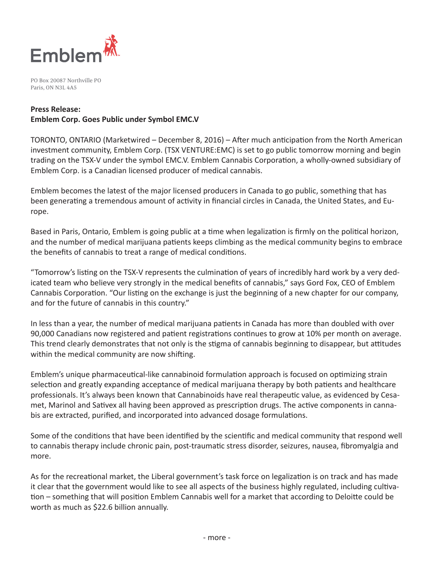

PO Box 20087 Northville PO Paris, ON N3L 4A5

#### **Press Release:**

# **Emblem Corp. Goes Public under Symbol EMC.V**

TORONTO, ONTARIO (Marketwired – December 8, 2016) – After much anticipation from the North American investment community, Emblem Corp. (TSX VENTURE:EMC) is set to go public tomorrow morning and begin trading on the TSX-V under the symbol EMC.V. Emblem Cannabis Corporation, a wholly-owned subsidiary of Emblem Corp. is a Canadian licensed producer of medical cannabis.

Emblem becomes the latest of the major licensed producers in Canada to go public, something that has been generating a tremendous amount of activity in financial circles in Canada, the United States, and Europe.

Based in Paris, Ontario, Emblem is going public at a time when legalization is firmly on the political horizon, and the number of medical marijuana patients keeps climbing as the medical community begins to embrace the benefits of cannabis to treat a range of medical conditions.

"Tomorrow's listing on the TSX-V represents the culmination of years of incredibly hard work by a very dedicated team who believe very strongly in the medical benefits of cannabis," says Gord Fox, CEO of Emblem Cannabis Corporation. "Our listing on the exchange is just the beginning of a new chapter for our company, and for the future of cannabis in this country."

In less than a year, the number of medical marijuana patients in Canada has more than doubled with over 90,000 Canadians now registered and patient registrations continues to grow at 10% per month on average. This trend clearly demonstrates that not only is the stigma of cannabis beginning to disappear, but attitudes within the medical community are now shifting.

Emblem's unique pharmaceutical-like cannabinoid formulation approach is focused on optimizing strain selection and greatly expanding acceptance of medical marijuana therapy by both patients and healthcare professionals. It's always been known that Cannabinoids have real therapeutic value, as evidenced by Cesamet, Marinol and Sativex all having been approved as prescription drugs. The active components in cannabis are extracted, purified, and incorporated into advanced dosage formulations.

Some of the conditions that have been identified by the scientific and medical community that respond well to cannabis therapy include chronic pain, post-traumatic stress disorder, seizures, nausea, fibromyalgia and more.

As for the recreational market, the Liberal government's task force on legalization is on track and has made it clear that the government would like to see all aspects of the business highly regulated, including cultivation – something that will position Emblem Cannabis well for a market that according to Deloitte could be worth as much as \$22.6 billion annually.